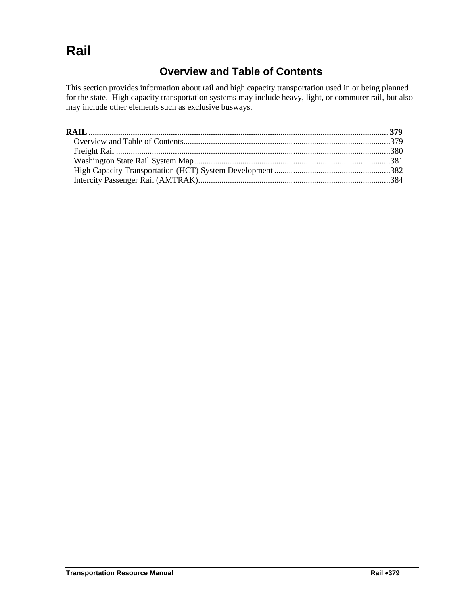# <span id="page-0-1"></span><span id="page-0-0"></span>**Rail**

# **Overview and Table of Contents**

This section provides information about rail and high capacity transportation used in or being planned for the state. High capacity transportation systems may include heavy, light, or commuter rail, but also may include other elements such as exclusive busways.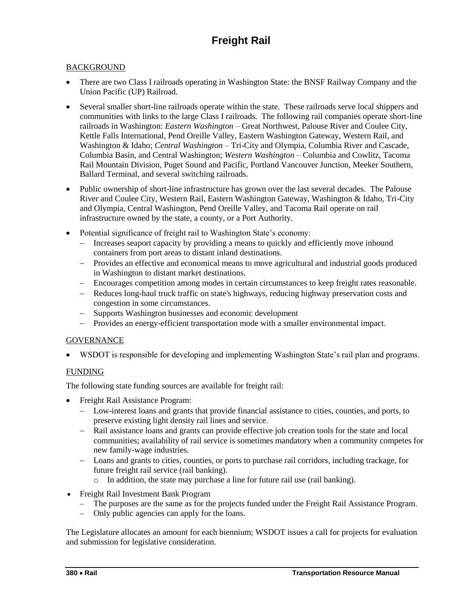# **Freight Rail**

## <span id="page-1-0"></span>**BACKGROUND**

- There are two Class I railroads operating in Washington State: the BNSF Railway Company and the Union Pacific (UP) Railroad.
- Several smaller short-line railroads operate within the state. These railroads serve local shippers and communities with links to the large Class I railroads. The following rail companies operate short-line railroads in Washington: *Eastern Washington* – Great Northwest, Palouse River and Coulee City, Kettle Falls International, Pend Oreille Valley, Eastern Washington Gateway, Western Rail, and Washington & Idaho; *Central Washington* – Tri-City and Olympia, Columbia River and Cascade, Columbia Basin, and Central Washington; *Western Washington* – Columbia and Cowlitz, Tacoma Rail Mountain Division, Puget Sound and Pacific, Portland Vancouver Junction, Meeker Southern, Ballard Terminal, and several switching railroads.
- Public ownership of short-line infrastructure has grown over the last several decades. The Palouse River and Coulee City, Western Rail, Eastern Washington Gateway, Washington & Idaho, Tri-City and Olympia, Central Washington, Pend Oreille Valley, and Tacoma Rail operate on rail infrastructure owned by the state, a county, or a Port Authority.
- Potential significance of freight rail to Washington State's economy:
	- Increases seaport capacity by providing a means to quickly and efficiently move inbound containers from port areas to distant inland destinations.
	- Provides an effective and economical means to move agricultural and industrial goods produced in Washington to distant market destinations.
	- Encourages competition among modes in certain circumstances to keep freight rates reasonable.
	- Reduces long-haul truck traffic on state's highways, reducing highway preservation costs and congestion in some circumstances.
	- Supports Washington businesses and economic development
	- Provides an energy-efficient transportation mode with a smaller environmental impact.

### **GOVERNANCE**

WSDOT is responsible for developing and implementing Washington State's rail plan and programs.

### FUNDING

The following state funding sources are available for freight rail:

- Freight Rail Assistance Program:
	- Low-interest loans and grants that provide financial assistance to cities, counties, and ports, to preserve existing light density rail lines and service.
	- Rail assistance loans and grants can provide effective job creation tools for the state and local communities; availability of rail service is sometimes mandatory when a community competes for new family-wage industries.
	- Loans and grants to cities, counties, or ports to purchase rail corridors, including trackage, for future freight rail service (rail banking).
		- o In addition, the state may purchase a line for future rail use (rail banking).
- Freight Rail Investment Bank Program
	- The purposes are the same as for the projects funded under the Freight Rail Assistance Program.
	- Only public agencies can apply for the loans.

The Legislature allocates an amount for each biennium; WSDOT issues a call for projects for evaluation and submission for legislative consideration.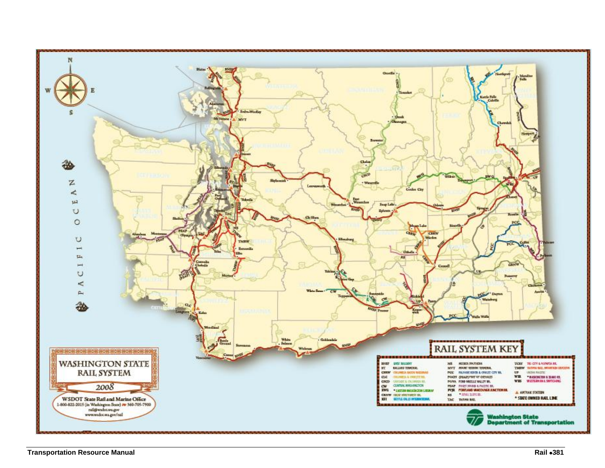<span id="page-2-0"></span>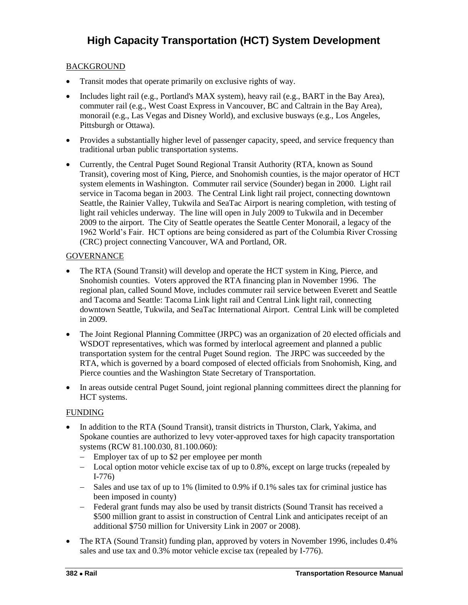### <span id="page-3-0"></span>BACKGROUND

- Transit modes that operate primarily on exclusive rights of way.
- Includes light rail (e.g., Portland's MAX system), heavy rail (e.g., BART in the Bay Area), commuter rail (e.g., West Coast Express in Vancouver, BC and Caltrain in the Bay Area), monorail (e.g., Las Vegas and Disney World), and exclusive busways (e.g., Los Angeles, Pittsburgh or Ottawa).
- Provides a substantially higher level of passenger capacity, speed, and service frequency than traditional urban public transportation systems.
- Currently, the Central Puget Sound Regional Transit Authority (RTA, known as Sound Transit), covering most of King, Pierce, and Snohomish counties, is the major operator of HCT system elements in Washington. Commuter rail service (Sounder) began in 2000. Light rail service in Tacoma began in 2003. The Central Link light rail project, connecting downtown Seattle, the Rainier Valley, Tukwila and SeaTac Airport is nearing completion, with testing of light rail vehicles underway. The line will open in July 2009 to Tukwila and in December 2009 to the airport. The City of Seattle operates the Seattle Center Monorail, a legacy of the 1962 World's Fair. HCT options are being considered as part of the Columbia River Crossing (CRC) project connecting Vancouver, WA and Portland, OR.

### **GOVERNANCE**

- The RTA (Sound Transit) will develop and operate the HCT system in King, Pierce, and Snohomish counties. Voters approved the RTA financing plan in November 1996. The regional plan, called Sound Move, includes commuter rail service between Everett and Seattle and Tacoma and Seattle: Tacoma Link light rail and Central Link light rail, connecting downtown Seattle, Tukwila, and SeaTac International Airport. Central Link will be completed in 2009.
- The Joint Regional Planning Committee (JRPC) was an organization of 20 elected officials and WSDOT representatives, which was formed by interlocal agreement and planned a public transportation system for the central Puget Sound region. The JRPC was succeeded by the RTA, which is governed by a board composed of elected officials from Snohomish, King, and Pierce counties and the Washington State Secretary of Transportation.
- In areas outside central Puget Sound, joint regional planning committees direct the planning for HCT systems.

### FUNDING

- In addition to the RTA (Sound Transit), transit districts in Thurston, Clark, Yakima, and Spokane counties are authorized to levy voter-approved taxes for high capacity transportation systems (RCW 81.100.030, 81.100.060):
	- Employer tax of up to \$2 per employee per month
	- Local option motor vehicle excise tax of up to 0.8%, except on large trucks (repealed by I-776)
	- Sales and use tax of up to 1% (limited to 0.9% if 0.1% sales tax for criminal justice has been imposed in county)
	- Federal grant funds may also be used by transit districts (Sound Transit has received a \$500 million grant to assist in construction of Central Link and anticipates receipt of an additional \$750 million for University Link in 2007 or 2008).
- The RTA (Sound Transit) funding plan, approved by voters in November 1996, includes 0.4% sales and use tax and 0.3% motor vehicle excise tax (repealed by I-776).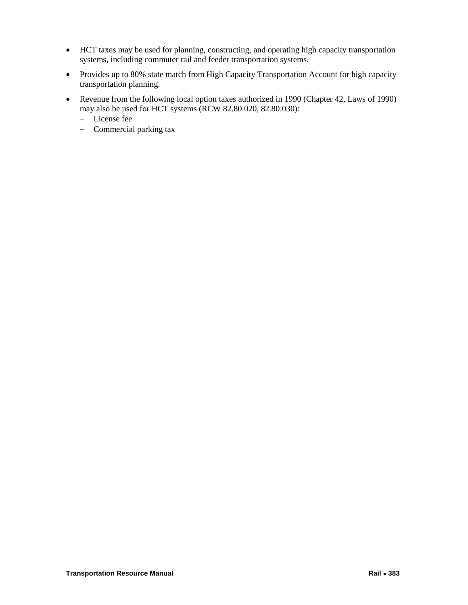- HCT taxes may be used for planning, constructing, and operating high capacity transportation systems, including commuter rail and feeder transportation systems.
- Provides up to 80% state match from High Capacity Transportation Account for high capacity transportation planning.
- Revenue from the following local option taxes authorized in 1990 (Chapter 42, Laws of 1990) may also be used for HCT systems (RCW 82.80.020, 82.80.030):
	- License fee
	- Commercial parking tax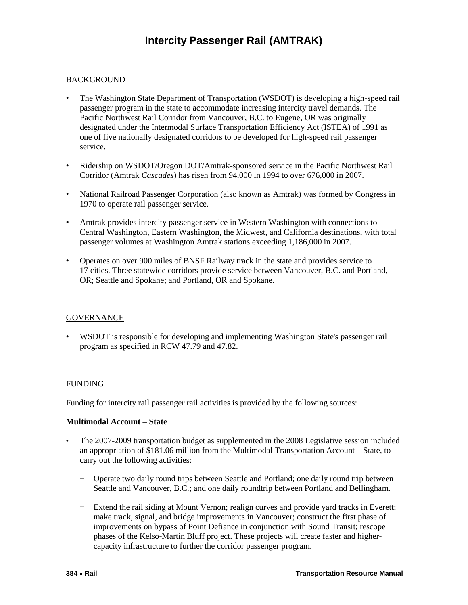### <span id="page-5-0"></span>**BACKGROUND**

- The Washington State Department of Transportation (WSDOT) is developing a high-speed rail passenger program in the state to accommodate increasing intercity travel demands. The Pacific Northwest Rail Corridor from Vancouver, B.C. to Eugene, OR was originally designated under the Intermodal Surface Transportation Efficiency Act (ISTEA) of 1991 as one of five nationally designated corridors to be developed for high-speed rail passenger service.
- Ridership on WSDOT/Oregon DOT/Amtrak-sponsored service in the Pacific Northwest Rail Corridor (Amtrak *Cascades*) has risen from 94,000 in 1994 to over 676,000 in 2007.
- National Railroad Passenger Corporation (also known as Amtrak) was formed by Congress in 1970 to operate rail passenger service.
- Amtrak provides intercity passenger service in Western Washington with connections to Central Washington, Eastern Washington, the Midwest, and California destinations, with total passenger volumes at Washington Amtrak stations exceeding 1,186,000 in 2007.
- Operates on over 900 miles of BNSF Railway track in the state and provides service to 17 cities. Three statewide corridors provide service between Vancouver, B.C. and Portland, OR; Seattle and Spokane; and Portland, OR and Spokane.

#### **GOVERNANCE**

• WSDOT is responsible for developing and implementing Washington State's passenger rail program as specified in RCW 47.79 and 47.82.

### FUNDING

Funding for intercity rail passenger rail activities is provided by the following sources:

#### **Multimodal Account – State**

- The 2007-2009 transportation budget as supplemented in the 2008 Legislative session included an appropriation of \$181.06 million from the Multimodal Transportation Account – State, to carry out the following activities:
	- − Operate two daily round trips between Seattle and Portland; one daily round trip between Seattle and Vancouver, B.C.; and one daily roundtrip between Portland and Bellingham.
	- Extend the rail siding at Mount Vernon; realign curves and provide yard tracks in Everett; make track, signal, and bridge improvements in Vancouver; construct the first phase of improvements on bypass of Point Defiance in conjunction with Sound Transit; rescope phases of the Kelso-Martin Bluff project. These projects will create faster and highercapacity infrastructure to further the corridor passenger program.